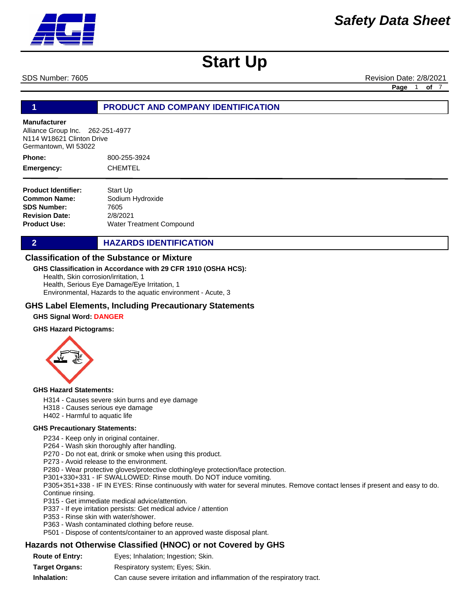SDS Number: 7605 **Revision Date: 2/8/2021** Revision Date: 2/8/2021

**Page** 1 **of** 7

## **1 PRODUCT AND COMPANY IDENTIFICATION**

#### **Manufacturer**

Alliance Group Inc. 262-251-4977 N114 W18621 Clinton Drive Germantown, WI 53022

800-255-3924 CHEMTEL **Phone: Emergency:**

| <b>Product Identifier:</b> | Start Up                 |
|----------------------------|--------------------------|
| Common Name:               | Sodium Hydroxide         |
| <b>SDS Number:</b>         | 7605                     |
| <b>Revision Date:</b>      | 2/8/2021                 |
| Product Use:               | Water Treatment Compound |

**2 HAZARDS IDENTIFICATION** 

#### **Classification of the Substance or Mixture**

#### **GHS Classification in Accordance with 29 CFR 1910 (OSHA HCS):**

Health, Skin corrosion/irritation, 1 Health, Serious Eye Damage/Eye Irritation, 1 Environmental, Hazards to the aquatic environment - Acute, 3

#### **GHS Label Elements, Including Precautionary Statements**

#### **GHS Signal Word: DANGER**

#### **GHS Hazard Pictograms:**



#### **GHS Hazard Statements:**

- H314 Causes severe skin burns and eye damage
- H318 Causes serious eye damage
- H402 Harmful to aquatic life

#### **GHS Precautionary Statements:**

P234 - Keep only in original container.

P264 - Wash skin thoroughly after handling.

- P270 Do not eat, drink or smoke when using this product.
- P273 Avoid release to the environment.

P280 - Wear protective gloves/protective clothing/eye protection/face protection.

P301+330+331 - IF SWALLOWED: Rinse mouth. Do NOT induce vomiting.

P305+351+338 - IF IN EYES: Rinse continuously with water for several minutes. Remove contact lenses if present and easy to do. Continue rinsing.

- P315 Get immediate medical advice/attention.
- P337 If eye irritation persists: Get medical advice / attention
- P353 Rinse skin with water/shower.
- P363 Wash contaminated clothing before reuse.
- P501 Dispose of contents/container to an approved waste disposal plant.

### **Hazards not Otherwise Classified (HNOC) or not Covered by GHS**

**Route of Entry: Target Organs: Inhalation:** Respiratory system; Eyes; Skin. Can cause severe irritation and inflammation of the respiratory tract. Eyes; Inhalation; Ingestion; Skin.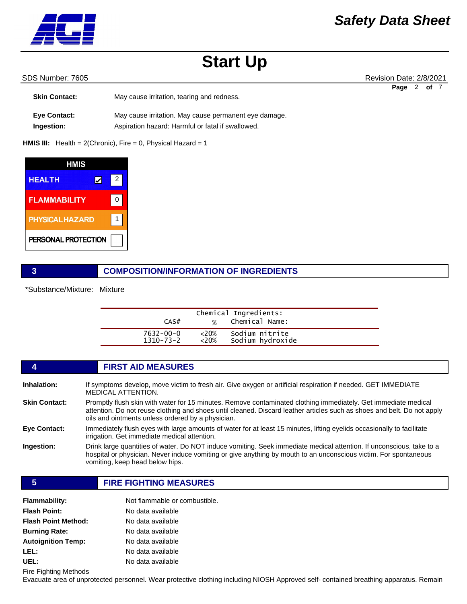

#### SDS Number: 7605 **Revision Date: 2/8/2021** Revision Date: 2/8/2021

|                      |                                                       | Page 2 | of 7 |  |
|----------------------|-------------------------------------------------------|--------|------|--|
| <b>Skin Contact:</b> | May cause irritation, tearing and redness.            |        |      |  |
|                      |                                                       |        |      |  |
| <b>Eye Contact:</b>  | May cause irritation. May cause permanent eye damage. |        |      |  |
| Ingestion:           | Aspiration hazard: Harmful or fatal if swallowed.     |        |      |  |

**HMIS III:** Health = 2(Chronic), Fire = 0, Physical Hazard = 1

| HMIS                   |   |  |
|------------------------|---|--|
| <b>HEALTH</b>          | 2 |  |
| <b>FLAMMABILITY</b>    |   |  |
| <b>PHYSICAL HAZARD</b> |   |  |
| PERSONAL PROTECTION    |   |  |

# **3 COMPOSITION/INFORMATION OF INGREDIENTS**

\*Substance/Mixture: Mixture

| CAS#      | %       | Chemical Ingredients:<br>Chemical Name: |
|-----------|---------|-----------------------------------------|
| 7632-00-0 | $<20\%$ | Sodium nitrite                          |
| 1310-73-2 | $<20\%$ | Sodium hydroxide                        |

|                      | <b>FIRST AID MEASURES</b>                                                                                                                                                                                                                                                                      |
|----------------------|------------------------------------------------------------------------------------------------------------------------------------------------------------------------------------------------------------------------------------------------------------------------------------------------|
| Inhalation:          | If symptoms develop, move victim to fresh air. Give oxygen or artificial respiration if needed. GET IMMEDIATE<br><b>MEDICAL ATTENTION.</b>                                                                                                                                                     |
| <b>Skin Contact:</b> | Promptly flush skin with water for 15 minutes. Remove contaminated clothing immediately. Get immediate medical<br>attention. Do not reuse clothing and shoes until cleaned. Discard leather articles such as shoes and belt. Do not apply<br>oils and ointments unless ordered by a physician. |
| Eye Contact:         | Immediately flush eyes with large amounts of water for at least 15 minutes, lifting eyelids occasionally to facilitate<br>irrigation. Get immediate medical attention.                                                                                                                         |
| Ingestion:           | Drink large quantities of water. Do NOT induce vomiting. Seek immediate medical attention. If unconscious, take to a<br>hospital or physician. Never induce vomiting or give anything by mouth to an unconscious victim. For spontaneous<br>vomiting, keep head below hips.                    |

#### **5 FIRE FIGHTING MEASURES**

| <b>Flammability:</b>       | Not flammable or combustible. |
|----------------------------|-------------------------------|
| <b>Flash Point:</b>        | No data available             |
| <b>Flash Point Method:</b> | No data available             |
| <b>Burning Rate:</b>       | No data available             |
| <b>Autoignition Temp:</b>  | No data available             |
| LEL:                       | No data available             |
| UEL:                       | No data available             |

Fire Fighting Methods

Evacuate area of unprotected personnel. Wear protective clothing including NIOSH Approved self- contained breathing apparatus. Remain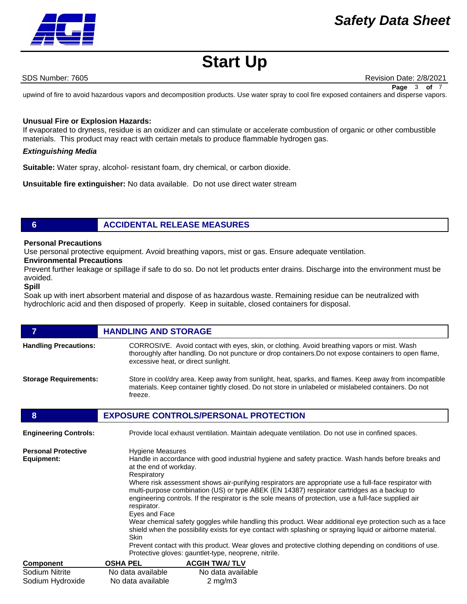

SDS Number: 7605 **Revision Date: 2/8/2021** Revision Date: 2/8/2021

upwind of fire to avoid hazardous vapors and decomposition products. Use water spray to cool fire exposed containers and disperse vapors. **Page** 3 **of** 7

### **Unusual Fire or Explosion Hazards:**

If evaporated to dryness, residue is an oxidizer and can stimulate or accelerate combustion of organic or other combustible materials. This product may react with certain metals to produce flammable hydrogen gas.

#### *Extinguishing Media*

**Suitable:** Water spray, alcohol- resistant foam, dry chemical, or carbon dioxide.

**Unsuitable fire extinguisher:** No data available. Do not use direct water stream

# **6 ACCIDENTAL RELEASE MEASURES**

### **Personal Precautions**

Use personal protective equipment. Avoid breathing vapors, mist or gas. Ensure adequate ventilation.

## **Environmental Precautions**

Prevent further leakage or spillage if safe to do so. Do not let products enter drains. Discharge into the environment must be avoided.

#### **Spill**

Soak up with inert absorbent material and dispose of as hazardous waste. Remaining residue can be neutralized with hydrochloric acid and then disposed of properly. Keep in suitable, closed containers for disposal.

|                              | <b>HANDLING AND STORAGE</b>                                                                                                                                                                                                                  |
|------------------------------|----------------------------------------------------------------------------------------------------------------------------------------------------------------------------------------------------------------------------------------------|
| <b>Handling Precautions:</b> | CORROSIVE. Avoid contact with eyes, skin, or clothing. Avoid breathing vapors or mist. Wash<br>thoroughly after handling. Do not puncture or drop containers. Do not expose containers to open flame,<br>excessive heat, or direct sunlight. |
| <b>Storage Requirements:</b> | Store in cool/dry area. Keep away from sunlight, heat, sparks, and flames. Keep away from incompatible<br>materials. Keep container tightly closed. Do not store in unlabeled or mislabeled containers. Do not<br>freeze.                    |

### **8 EXPOSURE CONTROLS/PERSONAL PROTECTION**

| <b>Engineering Controls:</b>             |                                                                                                                                                                                                                                                                                                                                                                                                 | Provide local exhaust ventilation. Maintain adequate ventilation. Do not use in confined spaces.                                                                                                                                                                                                                                                                                                                                                                          |  |  |
|------------------------------------------|-------------------------------------------------------------------------------------------------------------------------------------------------------------------------------------------------------------------------------------------------------------------------------------------------------------------------------------------------------------------------------------------------|---------------------------------------------------------------------------------------------------------------------------------------------------------------------------------------------------------------------------------------------------------------------------------------------------------------------------------------------------------------------------------------------------------------------------------------------------------------------------|--|--|
| <b>Personal Protective</b><br>Equipment: | Respiratory<br>respirator.<br>Eyes and Face                                                                                                                                                                                                                                                                                                                                                     | <b>Hygiene Measures</b><br>Handle in accordance with good industrial hygiene and safety practice. Wash hands before breaks and<br>at the end of workday.<br>Where risk assessment shows air-purifying respirators are appropriate use a full-face respirator with<br>multi-purpose combination (US) or type ABEK (EN 14387) respirator cartridges as a backup to<br>engineering controls. If the respirator is the sole means of protection, use a full-face supplied air |  |  |
|                                          | Wear chemical safety goggles while handling this product. Wear additional eye protection such as a face<br>shield when the possibility exists for eye contact with splashing or spraying liquid or airborne material.<br>Skin<br>Prevent contact with this product. Wear gloves and protective clothing depending on conditions of use.<br>Protective gloves: gauntlet-type, neoprene, nitrile. |                                                                                                                                                                                                                                                                                                                                                                                                                                                                           |  |  |
|                                          |                                                                                                                                                                                                                                                                                                                                                                                                 |                                                                                                                                                                                                                                                                                                                                                                                                                                                                           |  |  |
| <b>Component</b>                         | <b>OSHA PEL</b>                                                                                                                                                                                                                                                                                                                                                                                 | <b>ACGIH TWA/TLV</b>                                                                                                                                                                                                                                                                                                                                                                                                                                                      |  |  |
| Sodium Nitrite                           | No data available                                                                                                                                                                                                                                                                                                                                                                               | No data available                                                                                                                                                                                                                                                                                                                                                                                                                                                         |  |  |
| Sodium Hydroxide                         | No data available                                                                                                                                                                                                                                                                                                                                                                               | $2 \text{ mg/m}$                                                                                                                                                                                                                                                                                                                                                                                                                                                          |  |  |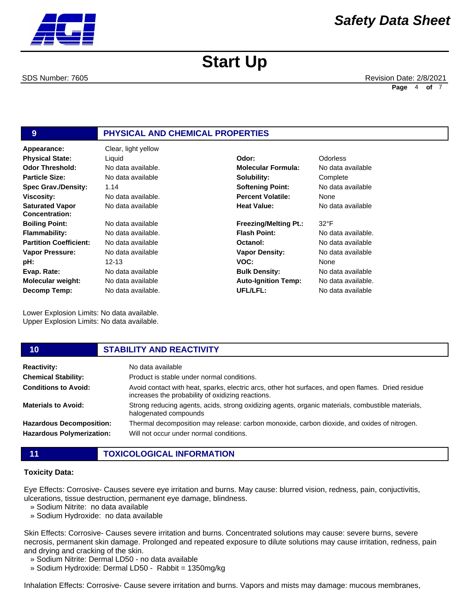

SDS Number: 7605 **Revision Date: 2/8/2021** Revision Date: 2/8/2021 **Page** 4 **of** 7

# **9 PHYSICAL AND CHEMICAL PROPERTIES**

**Appearance:** Clear, light yellow No data available 1.14 No data available. No data available No data available No data available. No data available No data available 12-13 No data available No data available No data available. **Odor Threshold: Particle Size: Spec Grav./Density: Viscosity: Saturated Vapor Concentration: Boiling Point: Flammability: Partition Coefficient: Vapor Pressure: pH: Evap. Rate: Molecular weight: Decomp Temp: Physical State:** Liquid

Lower Explosion Limits: No data available. Upper Explosion Limits: No data available.

| Liquid             | Odor:                        | <b>Odorless</b>    |
|--------------------|------------------------------|--------------------|
| No data available. | <b>Molecular Formula:</b>    | No data available  |
| No data available  | Solubility:                  | Complete           |
| 1.14               | <b>Softening Point:</b>      | No data available  |
| No data available. | <b>Percent Volatile:</b>     | None               |
| No data available  | <b>Heat Value:</b>           | No data available  |
| No data available  | <b>Freezing/Melting Pt.:</b> | $32^{\circ}F$      |
| No data available. | <b>Flash Point:</b>          | No data available. |
| No data available  | Octanol:                     | No data available  |
| No data available  | <b>Vapor Density:</b>        | No data available  |
| $12 - 13$          | VOC:                         | None               |
| No data available  | <b>Bulk Density:</b>         | No data available  |
| No data available  | <b>Auto-Ignition Temp:</b>   | No data available. |
| No data available. | UFL/LFL:                     | No data available  |

#### **10 STABILITY AND REACTIVITY Reactivity:** No data available **Chemical Stability: Conditions to Avoid: Materials to Avoid: Hazardous Decomposition: Hazardous Polymerization:** Product is stable under normal conditions. Avoid contact with heat, sparks, electric arcs, other hot surfaces, and open flames. Dried residue increases the probability of oxidizing reactions. Strong reducing agents, acids, strong oxidizing agents, organic materials, combustible materials, halogenated compounds Thermal decomposition may release: carbon monoxide, carbon dioxide, and oxides of nitrogen. Will not occur under normal conditions.

## **11 TOXICOLOGICAL INFORMATION**

#### **Toxicity Data:**

Eye Effects: Corrosive- Causes severe eye irritation and burns. May cause: blurred vision, redness, pain, conjuctivitis, ulcerations, tissue destruction, permanent eye damage, blindness.

- » Sodium Nitrite: no data available
- » Sodium Hydroxide: no data available

Skin Effects: Corrosive- Causes severe irritation and burns. Concentrated solutions may cause: severe burns, severe necrosis, permanent skin damage. Prolonged and repeated exposure to dilute solutions may cause irritation, redness, pain and drying and cracking of the skin.

- » Sodium Nitrite: Dermal LD50 no data available
- » Sodium Hydroxide: Dermal LD50 Rabbit = 1350mg/kg

Inhalation Effects: Corrosive- Cause severe irritation and burns. Vapors and mists may damage: mucous membranes,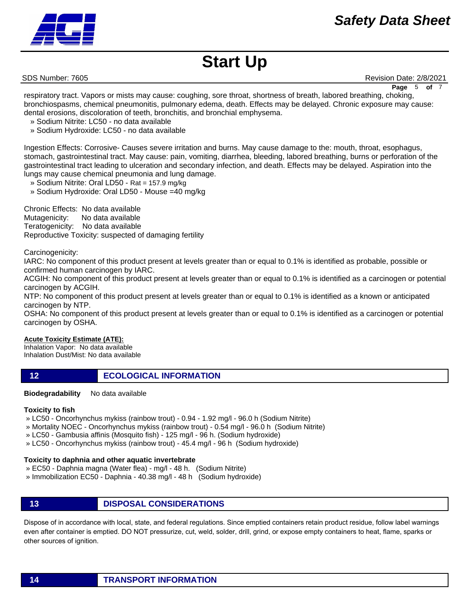

SDS Number: 7605 **Revision Date: 2/8/2021** Revision Date: 2/8/2021

respiratory tract. Vapors or mists may cause: coughing, sore throat, shortness of breath, labored breathing, choking, bronchiospasms, chemical pneumonitis, pulmonary edema, death. Effects may be delayed. Chronic exposure may cause: dental erosions, discoloration of teeth, bronchitis, and bronchial emphysema. **Page** 5 of

- » Sodium Nitrite: LC50 no data available
- » Sodium Hydroxide: LC50 no data available

Ingestion Effects: Corrosive- Causes severe irritation and burns. May cause damage to the: mouth, throat, esophagus, stomach, gastrointestinal tract. May cause: pain, vomiting, diarrhea, bleeding, labored breathing, burns or perforation of the gastrointestinal tract leading to ulceration and secondary infection, and death. Effects may be delayed. Aspiration into the lungs may cause chemical pneumonia and lung damage.

- » Sodium Nitrite: Oral LD50 Rat = 157.9 mg/kg
- » Sodium Hydroxide: Oral LD50 Mouse =40 mg/kg

Chronic Effects: No data available Mutagenicity: No data available Teratogenicity: No data available Reproductive Toxicity: suspected of damaging fertility

Carcinogenicity:

IARC: No component of this product present at levels greater than or equal to 0.1% is identified as probable, possible or confirmed human carcinogen by IARC.

ACGIH: No component of this product present at levels greater than or equal to 0.1% is identified as a carcinogen or potential carcinogen by ACGIH.

NTP: No component of this product present at levels greater than or equal to 0.1% is identified as a known or anticipated carcinogen by NTP.

OSHA: No component of this product present at levels greater than or equal to 0.1% is identified as a carcinogen or potential carcinogen by OSHA.

#### **Acute Toxicity Estimate (ATE):**

Inhalation Vapor: No data available Inhalation Dust/Mist: No data available

- **12 ECOLOGICAL INFORMATION**
- **Biodegradability** No data available

#### **Toxicity to fish**

» LC50 - Oncorhynchus mykiss (rainbow trout) - 0.94 - 1.92 mg/l - 96.0 h (Sodium Nitrite)

- » Mortality NOEC Oncorhynchus mykiss (rainbow trout) 0.54 mg/l 96.0 h (Sodium Nitrite)
- » LC50 Gambusia affinis (Mosquito fish) 125 mg/l 96 h. (Sodium hydroxide)
- » LC50 Oncorhynchus mykiss (rainbow trout) 45.4 mg/l 96 h (Sodium hydroxide)

#### **Toxicity to daphnia and other aquatic invertebrate**

- » EC50 Daphnia magna (Water flea) mg/l 48 h. (Sodium Nitrite)
- » Immobilization EC50 Daphnia 40.38 mg/l 48 h (Sodium hydroxide)
- **13 DISPOSAL CONSIDERATIONS**

Dispose of in accordance with local, state, and federal regulations. Since emptied containers retain product residue, follow label warnings even after container is emptied. DO NOT pressurize, cut, weld, solder, drill, grind, or expose empty containers to heat, flame, sparks or other sources of ignition.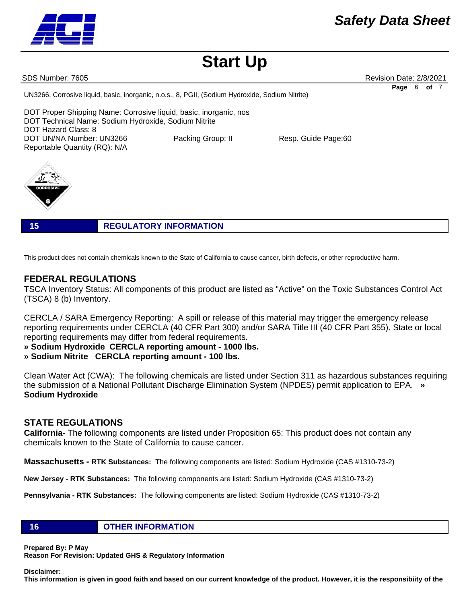**Disclaimer: This information is given in good faith and based on our current knowledge of the product. However, it is the responsibiity of the** 

### **16 OTHER INFORMATION**

**Prepared By: P May** 

**Reason For Revision: Updated GHS & Regulatory Information** 

# **FEDERAL REGULATIONS**

TSCA Inventory Status: All components of this product are listed as "Active" on the Toxic Substances Control Act (TSCA) 8 (b) Inventory.

CERCLA / SARA Emergency Reporting: A spill or release of this material may trigger the emergency release reporting requirements under CERCLA (40 CFR Part 300) and/or SARA Title III (40 CFR Part 355). State or local reporting requirements may differ from federal requirements.

**» Sodium Hydroxide CERCLA reporting amount - 1000 lbs.** 

**» Sodium Nitrite CERCLA reporting amount - 100 lbs.**

Clean Water Act (CWA): The following chemicals are listed under Section 311 as hazardous substances requiring the submission of a National Pollutant Discharge Elimination System (NPDES) permit application to EPA. **» Sodium Hydroxide**

# **STATE REGULATIONS**

**California-** The following components are listed under Proposition 65: This product does not contain any chemicals known to the State of California to cause cancer.

**Massachusetts - RTK Substances:** The following components are listed: Sodium Hydroxide (CAS #1310-73-2)

**New Jersey - RTK Substances:** The following components are listed: Sodium Hydroxide (CAS #1310-73-2)

**Pennsylvania - RTK Substances:** The following components are listed: Sodium Hydroxide (CAS #1310-73-2)

DOT Technical Name: Sodium Hydroxide, Sodium Nitrite

DOT Proper Shipping Name: Corrosive liquid, basic, inorganic, nos

**15 REGULATORY INFORMATION**

This product does not contain chemicals known to the State of California to cause cancer, birth defects, or other reproductive harm.

DOT UN/NA Number: UN3266 Packing Group: II Resp. Guide Page:60

UN3266, Corrosive liquid, basic, inorganic, n.o.s., 8, PGII, (Sodium Hydroxide, Sodium Nitrite)



DOT Hazard Class: 8

Reportable Quantity (RQ): N/A

SDS Number: 7605 **Revision Date: 2/8/2021** Revision Date: 2/8/2021

**Page** 6 **of** 7